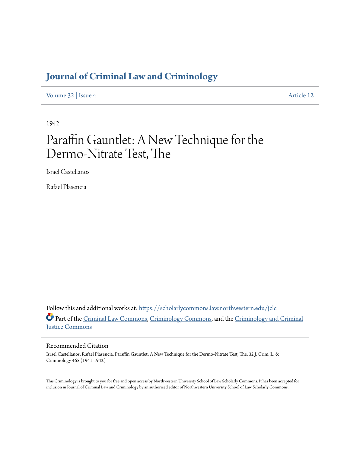# **[Journal of Criminal Law and Criminology](https://scholarlycommons.law.northwestern.edu/jclc?utm_source=scholarlycommons.law.northwestern.edu%2Fjclc%2Fvol32%2Fiss4%2F12&utm_medium=PDF&utm_campaign=PDFCoverPages)**

[Volume 32](https://scholarlycommons.law.northwestern.edu/jclc/vol32?utm_source=scholarlycommons.law.northwestern.edu%2Fjclc%2Fvol32%2Fiss4%2F12&utm_medium=PDF&utm_campaign=PDFCoverPages) | [Issue 4](https://scholarlycommons.law.northwestern.edu/jclc/vol32/iss4?utm_source=scholarlycommons.law.northwestern.edu%2Fjclc%2Fvol32%2Fiss4%2F12&utm_medium=PDF&utm_campaign=PDFCoverPages) [Article 12](https://scholarlycommons.law.northwestern.edu/jclc/vol32/iss4/12?utm_source=scholarlycommons.law.northwestern.edu%2Fjclc%2Fvol32%2Fiss4%2F12&utm_medium=PDF&utm_campaign=PDFCoverPages)

1942

# Paraffin Gauntlet: A New Technique for the Dermo-Nitrate Test, The

Israel Castellanos

Rafael Plasencia

Follow this and additional works at: [https://scholarlycommons.law.northwestern.edu/jclc](https://scholarlycommons.law.northwestern.edu/jclc?utm_source=scholarlycommons.law.northwestern.edu%2Fjclc%2Fvol32%2Fiss4%2F12&utm_medium=PDF&utm_campaign=PDFCoverPages) Part of the [Criminal Law Commons](http://network.bepress.com/hgg/discipline/912?utm_source=scholarlycommons.law.northwestern.edu%2Fjclc%2Fvol32%2Fiss4%2F12&utm_medium=PDF&utm_campaign=PDFCoverPages), [Criminology Commons](http://network.bepress.com/hgg/discipline/417?utm_source=scholarlycommons.law.northwestern.edu%2Fjclc%2Fvol32%2Fiss4%2F12&utm_medium=PDF&utm_campaign=PDFCoverPages), and the [Criminology and Criminal](http://network.bepress.com/hgg/discipline/367?utm_source=scholarlycommons.law.northwestern.edu%2Fjclc%2Fvol32%2Fiss4%2F12&utm_medium=PDF&utm_campaign=PDFCoverPages) [Justice Commons](http://network.bepress.com/hgg/discipline/367?utm_source=scholarlycommons.law.northwestern.edu%2Fjclc%2Fvol32%2Fiss4%2F12&utm_medium=PDF&utm_campaign=PDFCoverPages)

### Recommended Citation

Israel Castellanos, Rafael Plasencia, Paraffin Gauntlet: A New Technique for the Dermo-Nitrate Test, The, 32 J. Crim. L. & Criminology 465 (1941-1942)

This Criminology is brought to you for free and open access by Northwestern University School of Law Scholarly Commons. It has been accepted for inclusion in Journal of Criminal Law and Criminology by an authorized editor of Northwestern University School of Law Scholarly Commons.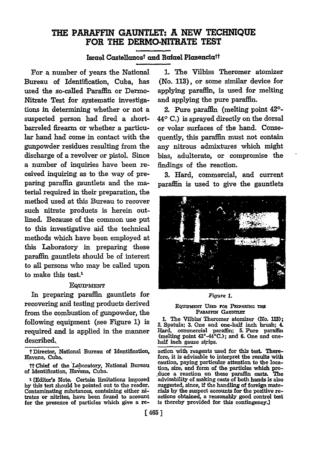## THE **PARAFFIN GAUNTLET: A NEW TECHNIQUE** FOR THE DERMO-NITRATE **TEST**

Israel Castellanos<sup>t</sup> and Rafael Plasencia<sup>tt</sup>

For a number of years the National Bureau of Identification, Cuba, has used the so-called Paraffin or Dermo-Nitrate Test for systematic investigations in determining whether or not a suspected person had fired a shortbarreled firearm or whether a particular hand had come in contact with the gunpowder residues resulting from the discharge of a revolver or pistol. Since a number of inquiries have been received inquiring as to the way of preparing paraffin gauntlets and the material required in their preparation, the method used at this Bureau to recover such nitrate products is herein outlined. Because of the common use put to this investigative aid the technical methods which have been employed at this Laboratory in preparing these paraffin gauntlets should be of interest to all persons who may be called upon to make this test.'

#### **EQUIPMENT**

In preparing paraffin gauntlets for recovering and testing products derived from the combustion of gunpowder, the following equipment (see Figure 1) is required and is applied in the manner described.

**1.** The Vilbiss Theromer atomizer (No. **113),** or some similar device for applying paraffin, is used for melting and applying the pure paraffin.

2. Pure paraffin (melting point 42'- **440 C.)** is sprayed directly on the dorsal or volar surfaces of the hand. Consequently, this paraffin must not contain any nitrous admixtures which might bias, adulterate, or compromise the findings of the reaction.

**3.** Hard, commercial, and current paraffin is used to give the gauntlets



#### *Figure 1.*

#### EQUIPMENT USED FOR PREPARING THE **PARAFFIN GAUNTLET**

**1.** The Vilbiss Theromer atomizer (No. **113);** 2. Spatula; **3.** One and one-half inch brush; 4. Hard, commercial paraffin; **5.** Pure paraffin (melting point 42°-44\*C.); and **6.** One and onehalf inch gauze strips.

action with reagents used for this **test.** Therefore, it is advisable to interpret the results with caution, paying particular attention to the location, size, and form of the particles which pro**duce** a reaction on these paraffin casts. The advisability of making casts of both hands is also suggested, since, **if** the handling of foreign materials **by** the suspect accounts for the positive reactions obtained, a reasonably good control test is thereby provided for this contingency.]

t Director, National Bureau of Identification, Havana, Cuba.

ttChief of the Laboratory, National Bureau of Identification, Havana, Cuba.

**<sup>1</sup>**[Editor's Note. Certain limitations imposed **by** this test should be pointed out to the reader. Contaminating substances, containing either nitrates or nitrites, have been found to account for the presence of particles which give a re-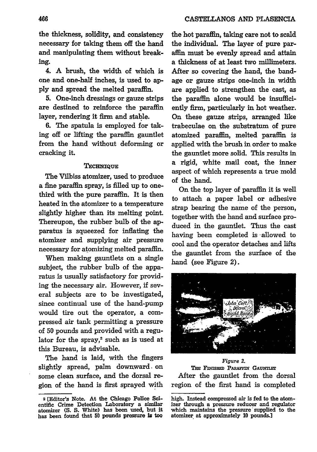the thickness, solidity, and consistency necessary for taking them off the hand and manipulating them without breaking.

4. **A** brush, the width of which is one and one-half inches, is used to **apply** and spread the melted paraffin.

**5.** One-inch dressings or gauze strips are destined to reinforce the paraffin layer, rendering it firm and stable.

**6.** The spatula is employed for taking off or lifting the paraffin gauntlet from the hand without deforming or cracking it.

#### Technique

The Vilbiss atomizer, used to produce a fine paraffin spray, is filled up to onethird with the pure paraffin. It is then heated in the atomizer to a temperature slightly higher than its melting point. Thereupon, the rubber bulb of the apparatus is squeezed for inflating the atomizer and supplying air pressure necessary for atomizing melted paraffin.

When making gauntlets on a single subject, the rubber bulb of the apparatus is usually satisfactory for providing the necessary air. However, if several subjects are to be investigated, since continual use of the hand-pump would tire out the operator, a compressed air tank permitting a pressure of **50** pounds and provided with a regulator for the spray,<sup>2</sup> such as is used at this Bureau, is advisable.

The hand is laid, with the fingers slightly spread, palm downward- on some clean surface, and the dorsal region of the hand is first sprayed with the hot paraffin, taking care not to scald the individual. The layer of pure paraffin must be evenly spread and attain a thickness of at least two millimeters. After so covering the hand, the bandage or gauze strips one-inch in width are applied to strengthen the cast, as the paraffin alone would be insufficiently firm, particularly in hot weather. On these gauze strips, arranged like trabeculae on the substratum of pure atomized paraffin, melted paraffin is applied with the brush in order to make the gauntlet more solid. This results in a rigid, white mail coat, the inner aspect of which represents a true mold of the hand.

On the top layer of paraffin it is well to attach a paper label or adhesive strap bearing the name of the person, together with the hand and surface produced in the gauntlet. Thus the cast having been completed is allowed to cool and the operator detaches and lifts the gauntlet from the surface of the hand (see Figure 2).



Figure **2.** THE FINISHED PARAFFIN GAUNTLET After the gauntlet from the dorsal region of the first hand is completed

**<sup>2</sup>** [Editor's Note. At the Chicago Police Scientific Crime Detection Laboratory a **similar** atomizer **(S. S.** White) has been used, but it has been found that **50** pounds pressure Is too

high. Instead compressed air is fed to the atomizer through a pressure reducer and regulator which maintains the pressure supplied to the atomizer at approximately **10** pounds.]